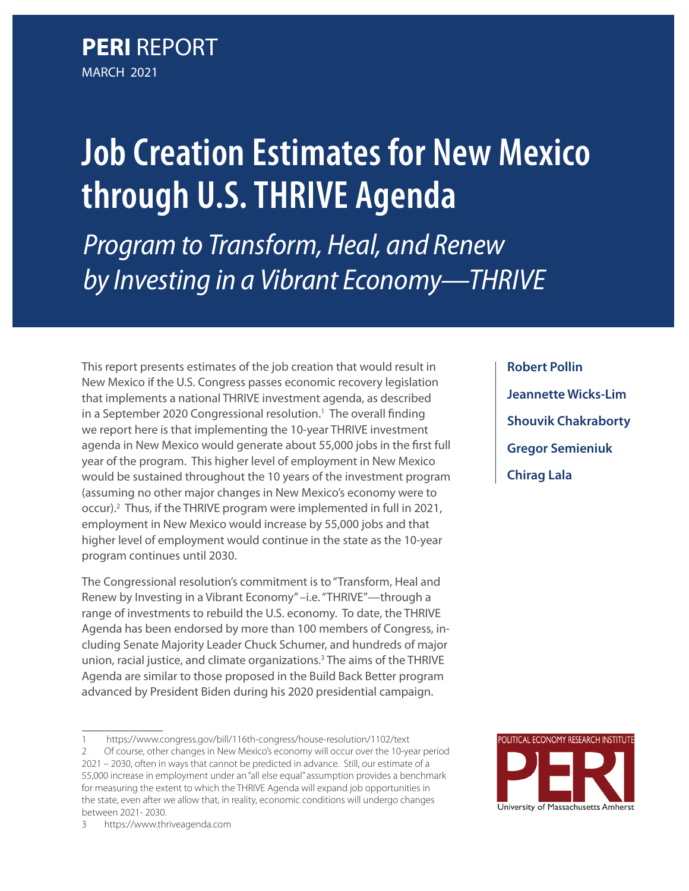**PERI** REPORT MARCH 2021

# **Job Creation Estimates for New Mexico through U.S. THRIVE Agenda** *Program to Transform, Heal, and Renew by Investing in a Vibrant Economy—THRIVE*

This report presents estimates of the job creation that would result in New Mexico if the U.S. Congress passes economic recovery legislation that implements a national THRIVE investment agenda, as described in a September 2020 Congressional resolution.<sup>1</sup> The overall finding we report here is that implementing the 10-year THRIVE investment agenda in New Mexico would generate about 55,000 jobs in the first full year of the program. This higher level of employment in New Mexico would be sustained throughout the 10 years of the investment program (assuming no other major changes in New Mexico's economy were to occur).<sup>2</sup> Thus, if the THRIVE program were implemented in full in 2021, employment in New Mexico would increase by 55,000 jobs and that higher level of employment would continue in the state as the 10-year program continues until 2030.

The Congressional resolution's commitment is to "Transform, Heal and Renew by Investing in a Vibrant Economy" –i.e. "THRIVE"—through a range of investments to rebuild the U.S. economy. To date, the THRIVE Agenda has been endorsed by more than 100 members of Congress, including Senate Majority Leader Chuck Schumer, and hundreds of major union, racial justice, and climate organizations.<sup>3</sup> The aims of the THRIVE Agenda are similar to those proposed in the Build Back Better program advanced by President Biden during his 2020 presidential campaign.

**Robert Pollin Jeannette Wicks-Lim Shouvik Chakraborty Gregor Semieniuk Chirag Lala**



<sup>1</sup> https://www.congress.gov/bill/116th-congress/house-resolution/1102/text

<sup>2</sup> Of course, other changes in New Mexico's economy will occur over the 10-year period 2021 – 2030, often in ways that cannot be predicted in advance. Still, our estimate of a 55,000 increase in employment under an "all else equal" assumption provides a benchmark for measuring the extent to which the THRIVE Agenda will expand job opportunities in the state, even after we allow that, in reality, economic conditions will undergo changes between 2021- 2030.

<sup>3</sup> https://www.thriveagenda.com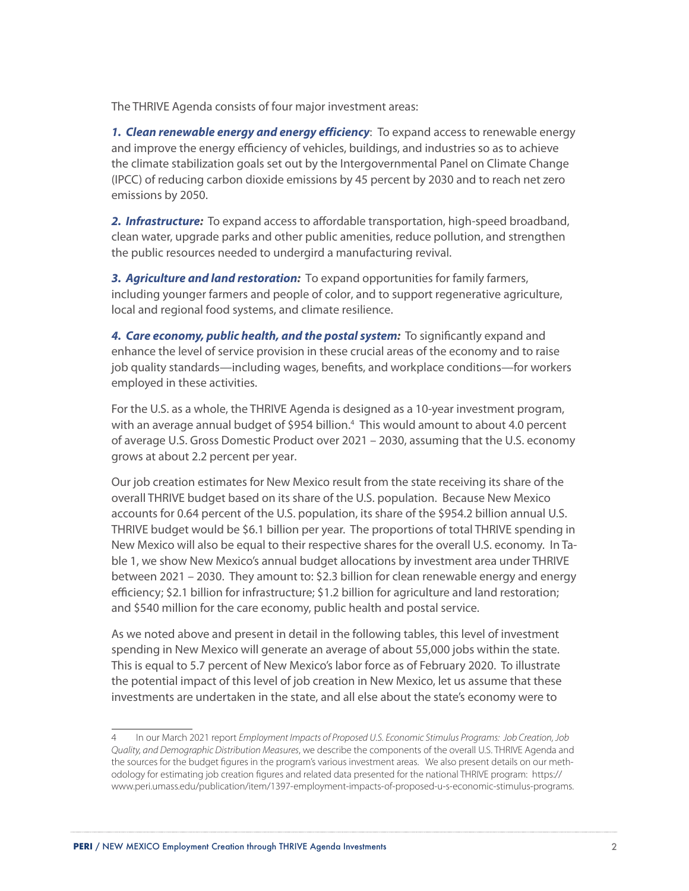The THRIVE Agenda consists of four major investment areas:

*1. Clean renewable energy and energy efficiency*: To expand access to renewable energy and improve the energy efficiency of vehicles, buildings, and industries so as to achieve the climate stabilization goals set out by the Intergovernmental Panel on Climate Change (IPCC) of reducing carbon dioxide emissions by 45 percent by 2030 and to reach net zero emissions by 2050.

*2. Infrastructure:* To expand access to affordable transportation, high-speed broadband, clean water, upgrade parks and other public amenities, reduce pollution, and strengthen the public resources needed to undergird a manufacturing revival.

*3. Agriculture and land restoration:* To expand opportunities for family farmers, including younger farmers and people of color, and to support regenerative agriculture, local and regional food systems, and climate resilience.

*4. Care economy, public health, and the postal system:* To significantly expand and enhance the level of service provision in these crucial areas of the economy and to raise job quality standards—including wages, benefits, and workplace conditions—for workers employed in these activities.

For the U.S. as a whole, the THRIVE Agenda is designed as a 10-year investment program, with an average annual budget of \$954 billion.<sup>4</sup> This would amount to about 4.0 percent of average U.S. Gross Domestic Product over 2021 – 2030, assuming that the U.S. economy grows at about 2.2 percent per year.

Our job creation estimates for New Mexico result from the state receiving its share of the overall THRIVE budget based on its share of the U.S. population. Because New Mexico accounts for 0.64 percent of the U.S. population, its share of the \$954.2 billion annual U.S. THRIVE budget would be \$6.1 billion per year. The proportions of total THRIVE spending in New Mexico will also be equal to their respective shares for the overall U.S. economy. In Table 1, we show New Mexico's annual budget allocations by investment area under THRIVE between 2021 – 2030. They amount to: \$2.3 billion for clean renewable energy and energy efficiency; \$2.1 billion for infrastructure; \$1.2 billion for agriculture and land restoration; and \$540 million for the care economy, public health and postal service.

As we noted above and present in detail in the following tables, this level of investment spending in New Mexico will generate an average of about 55,000 jobs within the state. This is equal to 5.7 percent of New Mexico's labor force as of February 2020. To illustrate the potential impact of this level of job creation in New Mexico, let us assume that these investments are undertaken in the state, and all else about the state's economy were to

<sup>4</sup> In our March 2021 report *Employment Impacts of Proposed U.S. Economic Stimulus Programs: Job Creation, Job Quality, and Demographic Distribution Measures*, we describe the components of the overall U.S. THRIVE Agenda and the sources for the budget figures in the program's various investment areas. We also present details on our methodology for estimating job creation figures and related data presented for the national THRIVE program: https:// www.peri.umass.edu/publication/item/1397-employment-impacts-of-proposed-u-s-economic-stimulus-programs.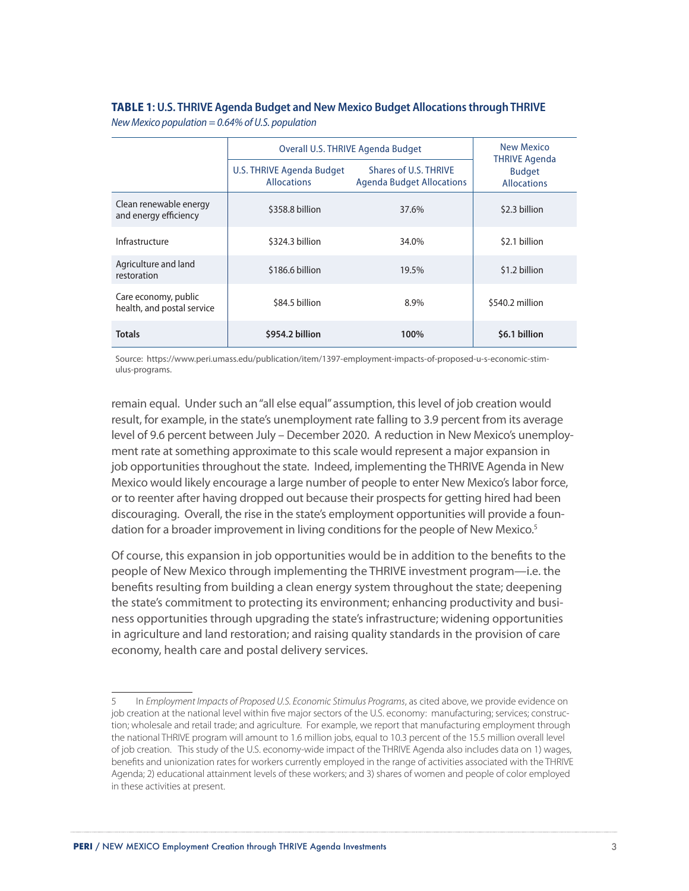#### **TABLE 1: U.S. THRIVE Agenda Budget and New Mexico Budget Allocations through THRIVE** *New Mexico population = 0.64% of U.S. population*

|                                                    | Overall U.S. THRIVE Agenda Budget                                                                            | New Mexico<br><b>THRIVE Agenda</b><br><b>Budget</b><br><b>Allocations</b> |                 |
|----------------------------------------------------|--------------------------------------------------------------------------------------------------------------|---------------------------------------------------------------------------|-----------------|
|                                                    | Shares of U.S. THRIVE<br>U.S. THRIVE Agenda Budget<br><b>Allocations</b><br><b>Agenda Budget Allocations</b> |                                                                           |                 |
| Clean renewable energy<br>and energy efficiency    | \$358.8 billion                                                                                              | 37.6%                                                                     | \$2.3 billion   |
| Infrastructure                                     | \$324.3 billion                                                                                              | 34.0%                                                                     | \$2.1 billion   |
| Agriculture and land<br>restoration                | \$186.6 billion                                                                                              | 19.5%                                                                     | \$1.2 billion   |
| Care economy, public<br>health, and postal service | \$84.5 billion                                                                                               | 8.9%                                                                      | \$540.2 million |
| <b>Totals</b>                                      | \$954.2 billion                                                                                              | 100%                                                                      | \$6.1 billion   |

Source: https://www.peri.umass.edu/publication/item/1397-employment-impacts-of-proposed-u-s-economic-stimulus-programs.

remain equal. Under such an "all else equal" assumption, this level of job creation would result, for example, in the state's unemployment rate falling to 3.9 percent from its average level of 9.6 percent between July – December 2020. A reduction in New Mexico's unemployment rate at something approximate to this scale would represent a major expansion in job opportunities throughout the state. Indeed, implementing the THRIVE Agenda in New Mexico would likely encourage a large number of people to enter New Mexico's labor force, or to reenter after having dropped out because their prospects for getting hired had been discouraging. Overall, the rise in the state's employment opportunities will provide a foundation for a broader improvement in living conditions for the people of New Mexico.<sup>5</sup>

Of course, this expansion in job opportunities would be in addition to the benefits to the people of New Mexico through implementing the THRIVE investment program—i.e. the benefits resulting from building a clean energy system throughout the state; deepening the state's commitment to protecting its environment; enhancing productivity and business opportunities through upgrading the state's infrastructure; widening opportunities in agriculture and land restoration; and raising quality standards in the provision of care economy, health care and postal delivery services.

<sup>5</sup> In *Employment Impacts of Proposed U.S. Economic Stimulus Programs*, as cited above, we provide evidence on job creation at the national level within five major sectors of the U.S. economy: manufacturing; services; construction; wholesale and retail trade; and agriculture. For example, we report that manufacturing employment through the national THRIVE program will amount to 1.6 million jobs, equal to 10.3 percent of the 15.5 million overall level of job creation. This study of the U.S. economy-wide impact of the THRIVE Agenda also includes data on 1) wages, benefits and unionization rates for workers currently employed in the range of activities associated with the THRIVE Agenda; 2) educational attainment levels of these workers; and 3) shares of women and people of color employed in these activities at present.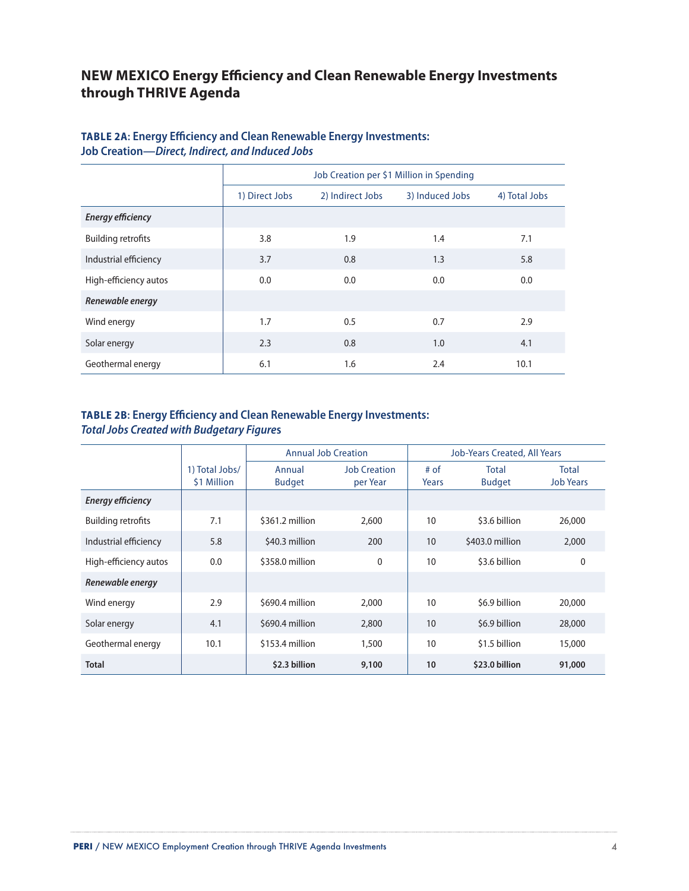## **NEW MEXICO Energy Efficiency and Clean Renewable Energy Investments through THRIVE Agenda**

|                           | Job Creation per \$1 Million in Spending |     |                 |               |  |  |  |
|---------------------------|------------------------------------------|-----|-----------------|---------------|--|--|--|
|                           | 1) Direct Jobs<br>2) Indirect Jobs       |     | 3) Induced Jobs | 4) Total Jobs |  |  |  |
| <b>Energy efficiency</b>  |                                          |     |                 |               |  |  |  |
| <b>Building retrofits</b> | 3.8                                      | 1.9 | 1.4             | 7.1           |  |  |  |
| Industrial efficiency     | 3.7                                      | 0.8 | 1.3             | 5.8           |  |  |  |
| High-efficiency autos     | 0.0                                      | 0.0 | 0.0             | 0.0           |  |  |  |
| Renewable energy          |                                          |     |                 |               |  |  |  |
| Wind energy               | 1.7                                      | 0.5 | 0.7             | 2.9           |  |  |  |
| Solar energy              | 2.3                                      | 0.8 | 1.0             | 4.1           |  |  |  |
| Geothermal energy         | 6.1                                      | 1.6 | 2.4             | 10.1          |  |  |  |

#### **TABLE 2A: Energy Efficiency and Clean Renewable Energy Investments: Job Creation—***Direct, Indirect, and Induced Jobs*

#### **TABLE 2B: Energy Efficiency and Clean Renewable Energy Investments:**  *Total Jobs Created with Budgetary Figure***s**

|                           |                               | <b>Annual Job Creation</b> |                                 |               | <b>Job-Years Created, All Years</b> |                                  |
|---------------------------|-------------------------------|----------------------------|---------------------------------|---------------|-------------------------------------|----------------------------------|
|                           | 1) Total Jobs/<br>\$1 Million | Annual<br><b>Budget</b>    | <b>Job Creation</b><br>per Year | # of<br>Years | Total<br><b>Budget</b>              | <b>Total</b><br><b>Job Years</b> |
| <b>Energy efficiency</b>  |                               |                            |                                 |               |                                     |                                  |
| <b>Building retrofits</b> | 7.1                           | \$361.2 million            | 2,600                           | 10            | \$3.6 billion                       | 26,000                           |
| Industrial efficiency     | 5.8                           | \$40.3 million             | 200                             | 10            | \$403.0 million                     | 2,000                            |
| High-efficiency autos     | 0.0                           | \$358.0 million            | $\mathbf 0$                     | 10            | \$3.6 billion                       | $\mathbf{0}$                     |
| Renewable energy          |                               |                            |                                 |               |                                     |                                  |
| Wind energy               | 2.9                           | \$690.4 million            | 2,000                           | 10            | \$6.9 billion                       | 20,000                           |
| Solar energy              | 4.1                           | \$690.4 million            | 2,800                           | 10            | \$6.9 billion                       | 28,000                           |
| Geothermal energy         | 10.1                          | \$153.4 million            | 1,500                           | 10            | \$1.5 billion                       | 15,000                           |
| <b>Total</b>              |                               | \$2.3 billion              | 9,100                           | 10            | \$23.0 billion                      | 91,000                           |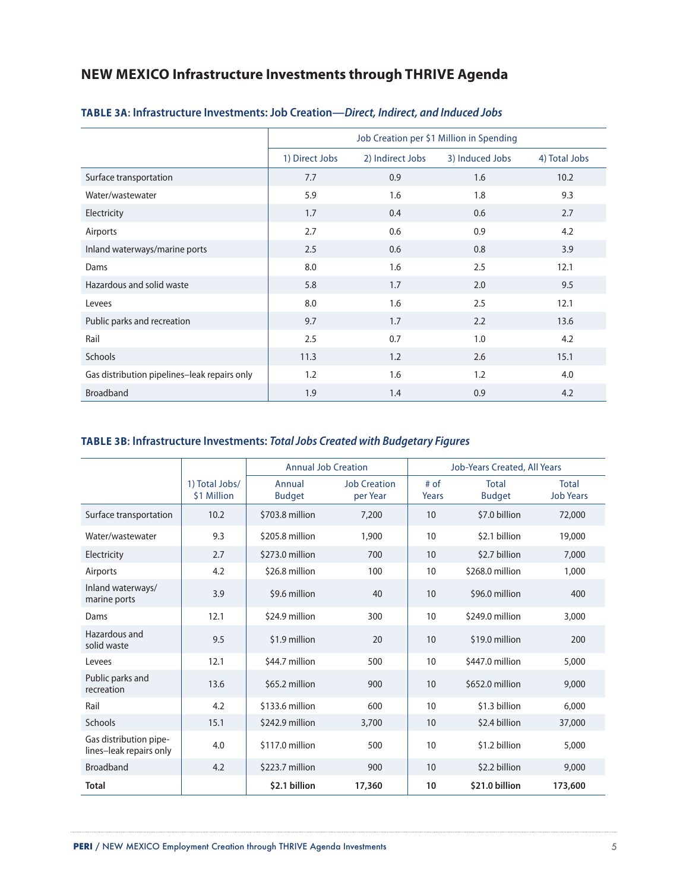## **NEW MEXICO Infrastructure Investments through THRIVE Agenda**

|                                              |                |                  | Job Creation per \$1 Million in Spending |               |
|----------------------------------------------|----------------|------------------|------------------------------------------|---------------|
|                                              | 1) Direct Jobs | 2) Indirect Jobs | 3) Induced Jobs                          | 4) Total Jobs |
| Surface transportation                       | 7.7            | 0.9              | 1.6                                      | 10.2          |
| Water/wastewater                             | 5.9            | 1.6              | 1.8                                      | 9.3           |
| Electricity                                  | 1.7            | 0.4              | 0.6                                      | 2.7           |
| Airports                                     | 2.7            | 0.6              | 0.9                                      | 4.2           |
| Inland waterways/marine ports                | 2.5            | 0.6              | 0.8                                      | 3.9           |
| Dams                                         | 8.0            | 1.6              | 2.5                                      | 12.1          |
| Hazardous and solid waste                    | 5.8            | 1.7              | 2.0                                      | 9.5           |
| Levees                                       | 8.0            | 1.6              | 2.5                                      | 12.1          |
| Public parks and recreation                  | 9.7            | 1.7              | 2.2                                      | 13.6          |
| Rail                                         | 2.5            | 0.7              | 1.0                                      | 4.2           |
| <b>Schools</b>                               | 11.3           | 1.2              | 2.6                                      | 15.1          |
| Gas distribution pipelines-leak repairs only | 1.2            | 1.6              | 1.2                                      | 4.0           |
| <b>Broadband</b>                             | 1.9            | 1.4              | 0.9                                      | 4.2           |

#### **TABLE 3A: Infrastructure Investments: Job Creation—***Direct, Indirect, and Induced Jobs*

#### **TABLE 3B: Infrastructure Investments:** *Total Jobs Created with Budgetary Figures*

|                                                   |                               | <b>Annual Job Creation</b> |                                 | <b>Job-Years Created, All Years</b> |                               |                                  |
|---------------------------------------------------|-------------------------------|----------------------------|---------------------------------|-------------------------------------|-------------------------------|----------------------------------|
|                                                   | 1) Total Jobs/<br>\$1 Million | Annual<br><b>Budget</b>    | <b>Job Creation</b><br>per Year | $#$ of<br>Years                     | <b>Total</b><br><b>Budget</b> | <b>Total</b><br><b>Job Years</b> |
| Surface transportation                            | 10.2                          | \$703.8 million            | 7,200                           | 10                                  | \$7.0 billion                 | 72,000                           |
| Water/wastewater                                  | 9.3                           | \$205.8 million            | 1,900                           | 10                                  | \$2.1 billion                 | 19,000                           |
| Electricity                                       | 2.7                           | \$273.0 million            | 700                             | 10                                  | \$2.7 billion                 | 7,000                            |
| Airports                                          | 4.2                           | \$26.8 million             | 100                             | 10                                  | \$268.0 million               | 1,000                            |
| Inland waterways/<br>marine ports                 | 3.9                           | \$9.6 million              | 40                              | 10<br>\$96.0 million                |                               | 400                              |
| Dams                                              | 12.1                          | \$24.9 million             | 300                             | 10                                  | \$249.0 million               | 3,000                            |
| Hazardous and<br>solid waste                      | 9.5                           | \$1.9 million              | 20                              | 10                                  | \$19.0 million                | 200                              |
| Levees                                            | 12.1                          | \$44.7 million             | 500                             | 10                                  | \$447.0 million               | 5,000                            |
| Public parks and<br>recreation                    | 13.6                          | \$65.2 million             | 900                             | \$652.0 million<br>10               |                               | 9,000                            |
| Rail                                              | 4.2                           | \$133.6 million            | 600                             | 10                                  | \$1.3 billion                 | 6,000                            |
| <b>Schools</b>                                    | 15.1                          | \$242.9 million            | 3,700                           | 10                                  | \$2.4 billion                 | 37,000                           |
| Gas distribution pipe-<br>lines-leak repairs only | 4.0                           | \$117.0 million            | 500                             | 10                                  | \$1.2 billion                 | 5,000                            |
| <b>Broadband</b>                                  | 4.2                           | \$223.7 million            | 900                             | 10                                  | \$2.2 billion                 | 9,000                            |
| <b>Total</b>                                      |                               | \$2.1 billion              | 17,360                          | 10                                  | \$21.0 billion                | 173,600                          |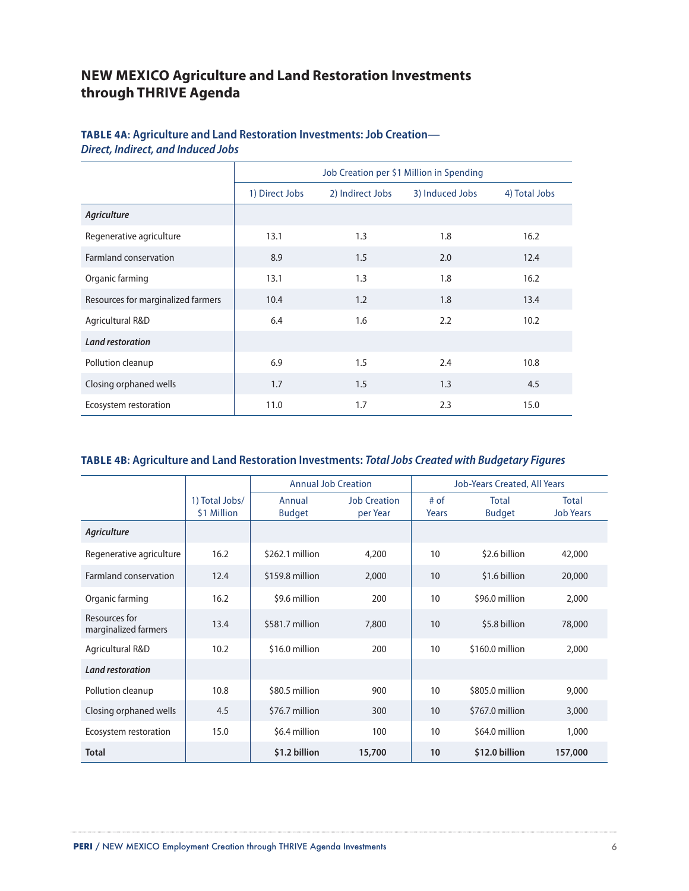## **NEW MEXICO Agriculture and Land Restoration Investments through THRIVE Agenda**

#### **TABLE 4A: Agriculture and Land Restoration Investments: Job Creation—** *Direct, Indirect, and Induced Jobs*

|                                    | Job Creation per \$1 Million in Spending |                  |                 |               |  |  |
|------------------------------------|------------------------------------------|------------------|-----------------|---------------|--|--|
|                                    | 1) Direct Jobs                           | 2) Indirect Jobs | 3) Induced Jobs | 4) Total Jobs |  |  |
| <b>Agriculture</b>                 |                                          |                  |                 |               |  |  |
| Regenerative agriculture           | 13.1                                     | 1.3              | 1.8             | 16.2          |  |  |
| Farmland conservation              | 8.9                                      | 1.5              | 2.0             | 12.4          |  |  |
| Organic farming                    | 13.1                                     | 1.3              | 1.8             | 16.2          |  |  |
| Resources for marginalized farmers | 10.4                                     | 1.2              | 1.8             | 13.4          |  |  |
| Agricultural R&D                   | 6.4                                      | 1.6              | 2.2             | 10.2          |  |  |
| <b>Land restoration</b>            |                                          |                  |                 |               |  |  |
| Pollution cleanup                  | 6.9                                      | 1.5              | 2.4             | 10.8          |  |  |
| Closing orphaned wells             | 1.7                                      | 1.5              | 1.3             | 4.5           |  |  |
| Ecosystem restoration              | 11.0                                     | 1.7              | 2.3             | 15.0          |  |  |

### **TABLE 4B: Agriculture and Land Restoration Investments:** *Total Jobs Created with Budgetary Figures*

|                                       |                               | <b>Annual Job Creation</b> |                                 |                       |                               |                                  |  | <b>Job-Years Created, All Years</b> |  |
|---------------------------------------|-------------------------------|----------------------------|---------------------------------|-----------------------|-------------------------------|----------------------------------|--|-------------------------------------|--|
|                                       | 1) Total Jobs/<br>\$1 Million | Annual<br><b>Budget</b>    | <b>Job Creation</b><br>per Year | # of<br>Years         | <b>Total</b><br><b>Budget</b> | <b>Total</b><br><b>Job Years</b> |  |                                     |  |
| Agriculture                           |                               |                            |                                 |                       |                               |                                  |  |                                     |  |
| Regenerative agriculture              | 16.2                          | \$262.1 million            | 4,200                           | 10                    | \$2.6 billion                 | 42,000                           |  |                                     |  |
| Farmland conservation                 | 12.4                          | \$159.8 million            | 2,000                           | 10                    | \$1.6 billion                 | 20,000                           |  |                                     |  |
| Organic farming                       | 16.2                          | \$9.6 million              | 200                             | 10                    | \$96.0 million                | 2,000                            |  |                                     |  |
| Resources for<br>marginalized farmers | 13.4                          | \$581.7 million            | 7,800                           | 10                    | \$5.8 billion                 | 78,000                           |  |                                     |  |
| Agricultural R&D                      | 10.2                          | \$16.0 million             | 200                             | \$160.0 million<br>10 |                               | 2,000                            |  |                                     |  |
| <b>Land restoration</b>               |                               |                            |                                 |                       |                               |                                  |  |                                     |  |
| Pollution cleanup                     | 10.8                          | \$80.5 million             | 900                             | 10                    | \$805.0 million               | 9,000                            |  |                                     |  |
| Closing orphaned wells                | 4.5                           | \$76.7 million             | 300                             | \$767.0 million<br>10 |                               | 3,000                            |  |                                     |  |
| Ecosystem restoration                 | 15.0                          | \$6.4 million              | 100                             | 10                    | \$64.0 million                | 1,000                            |  |                                     |  |
| <b>Total</b>                          |                               | \$1.2 billion              | 15,700                          | 10                    | \$12.0 billion                | 157,000                          |  |                                     |  |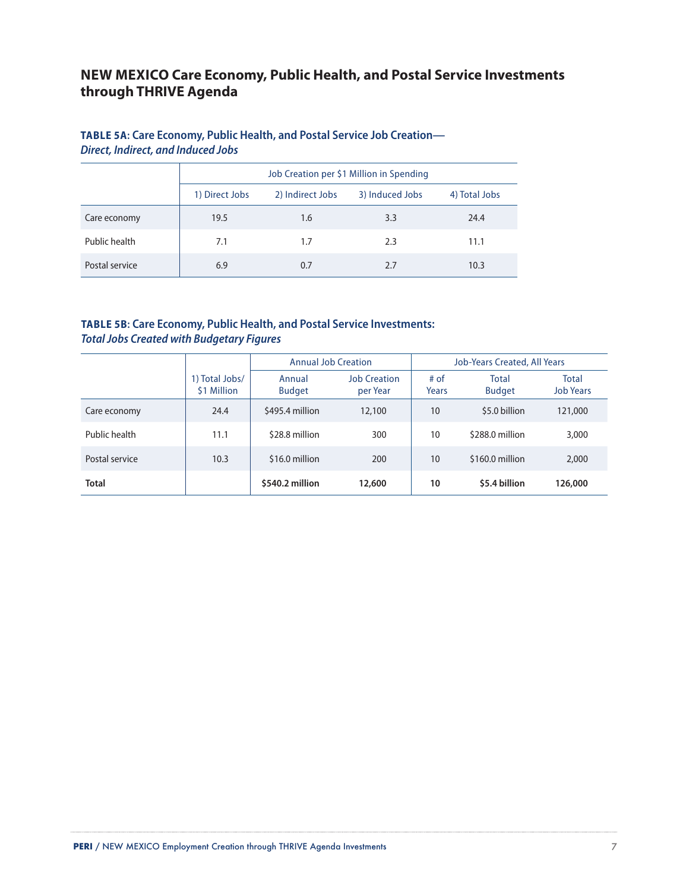## **NEW MEXICO Care Economy, Public Health, and Postal Service Investments through THRIVE Agenda**

#### **TABLE 5A: Care Economy, Public Health, and Postal Service Job Creation—** *Direct, Indirect, and Induced Jobs*

|                | Job Creation per \$1 Million in Spending |                  |                 |               |  |  |  |
|----------------|------------------------------------------|------------------|-----------------|---------------|--|--|--|
|                | 1) Direct Jobs                           | 2) Indirect Jobs | 3) Induced Jobs | 4) Total Jobs |  |  |  |
| Care economy   | 19.5                                     | 1.6              | 3.3             | 24.4          |  |  |  |
| Public health  | 7.1                                      | 1.7              | 2.3             | 11.1          |  |  |  |
| Postal service | 6.9                                      | 0.7              | 2.7             | 10.3          |  |  |  |

### **TABLE 5B: Care Economy, Public Health, and Postal Service Investments:**  *Total Jobs Created with Budgetary Figures*

|                |                               | <b>Annual Job Creation</b> |                                 |               | Job-Years Created, All Years  |                           |
|----------------|-------------------------------|----------------------------|---------------------------------|---------------|-------------------------------|---------------------------|
|                | 1) Total Jobs/<br>\$1 Million | Annual<br><b>Budget</b>    | <b>Job Creation</b><br>per Year | # of<br>Years | <b>Total</b><br><b>Budget</b> | Total<br><b>Job Years</b> |
| Care economy   | 24.4                          | \$495.4 million            | 12,100                          | 10            | \$5.0 billion                 | 121,000                   |
| Public health  | 11.1                          | \$28.8 million             | 300                             | 10            | \$288.0 million               | 3,000                     |
| Postal service | 10.3                          | \$16.0 million             | 200                             | 10            | \$160.0 million               | 2,000                     |
| <b>Total</b>   |                               | \$540.2 million            | 12,600                          | 10            | \$5.4 billion                 | 126,000                   |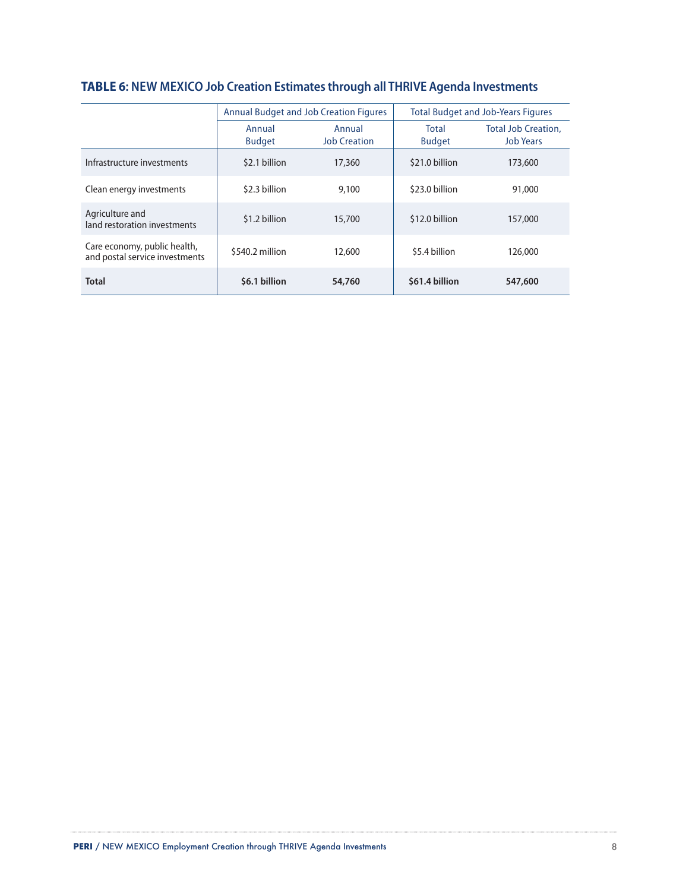|                                                                |                         | <b>Annual Budget and Job Creation Figures</b> | <b>Total Budget and Job-Years Figures</b> |                                                |  |
|----------------------------------------------------------------|-------------------------|-----------------------------------------------|-------------------------------------------|------------------------------------------------|--|
|                                                                | Annual<br><b>Budget</b> | Annual<br><b>Job Creation</b>                 | Total<br><b>Budget</b>                    | <b>Total Job Creation.</b><br><b>Job Years</b> |  |
| Infrastructure investments                                     | \$2.1 billion           | 17,360                                        | \$21.0 billion                            | 173,600                                        |  |
| Clean energy investments                                       | \$2.3 billion           | 9,100                                         | \$23.0 billion                            | 91,000                                         |  |
| Agriculture and<br>land restoration investments                | \$1.2 billion           | 15,700                                        | \$12.0 billion                            | 157,000                                        |  |
| Care economy, public health,<br>and postal service investments | \$540.2 million         | 12,600                                        | \$5.4 billion                             | 126,000                                        |  |
| <b>Total</b>                                                   | \$6.1 billion           | 54,760                                        | \$61.4 billion                            | 547,600                                        |  |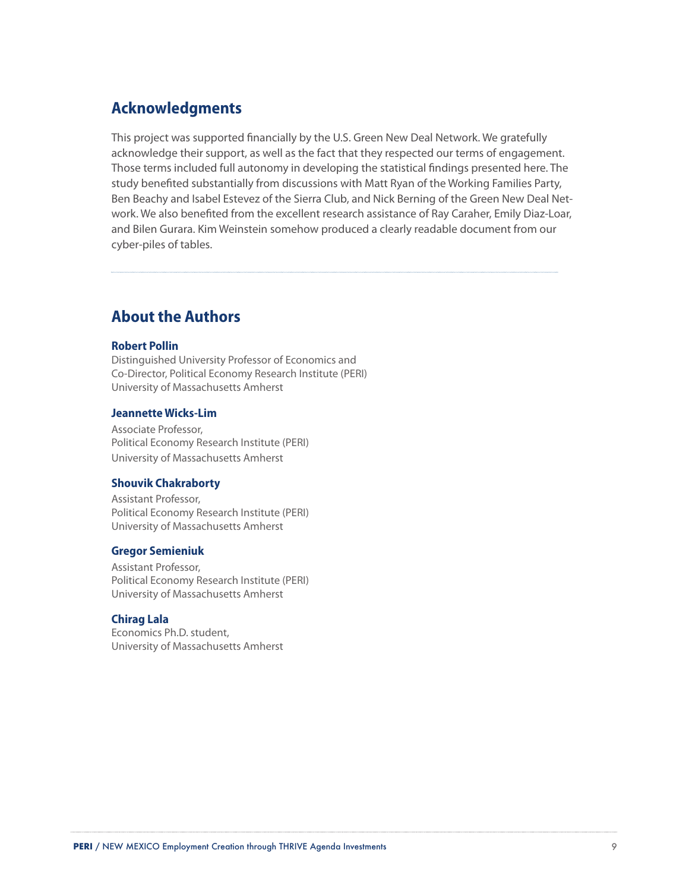## **Acknowledgments**

This project was supported financially by the U.S. Green New Deal Network. We gratefully acknowledge their support, as well as the fact that they respected our terms of engagement. Those terms included full autonomy in developing the statistical findings presented here. The study benefited substantially from discussions with Matt Ryan of the Working Families Party, Ben Beachy and Isabel Estevez of the Sierra Club, and Nick Berning of the Green New Deal Network. We also benefited from the excellent research assistance of Ray Caraher, Emily Diaz-Loar, and Bilen Gurara. Kim Weinstein somehow produced a clearly readable document from our cyber-piles of tables.

## **About the Authors**

#### **Robert Pollin**

Distinguished University Professor of Economics and Co-Director, Political Economy Research Institute (PERI) University of Massachusetts Amherst

#### **Jeannette Wicks-Lim**

Associate Professor, Political Economy Research Institute (PERI) University of Massachusetts Amherst

#### **Shouvik Chakraborty**

Assistant Professor, Political Economy Research Institute (PERI) University of Massachusetts Amherst

#### **Gregor Semieniuk**

Assistant Professor, Political Economy Research Institute (PERI) University of Massachusetts Amherst

#### **Chirag Lala**

Economics Ph.D. student, University of Massachusetts Amherst